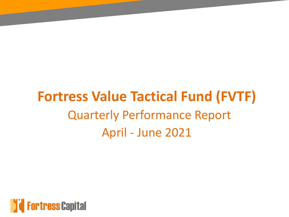# **Fortress Value Tactical Fund (FVTF)** Quarterly Performance Report April - June 2021

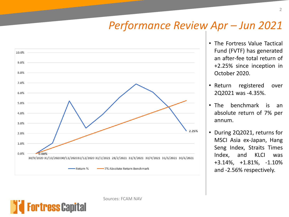### *Performance Review Apr – Jun 2021*



Sources: FCAM NAV

rtress Capital

- The Fortress Value Tactical Fund (FVTF) has generated an after-fee total return of +2.25% since inception in October 2020.
- Return registered over 2Q2021 was -4.35%.
- The benchmark is an absolute return of 7% per annum.
- During 2Q2021, returns for MSCI Asia ex-Japan, Hang Seng Index, Straits Times Index, and KLCI was +3.14%, +1.81%, -1.10% and -2.56% respectively.

2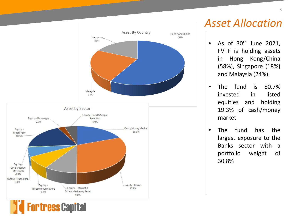

#### *Asset Allocation*

- As of  $30<sup>th</sup>$  June 2021, FVTF is holding assets in Hong Kong/China (58%), Singapore (18%) and Malaysia (24%).
- The fund is 80.7% invested in listed equities and holding 19.3% of cash/money market.
- The fund has the largest exposure to the Banks sector with a portfolio weight of 30.8%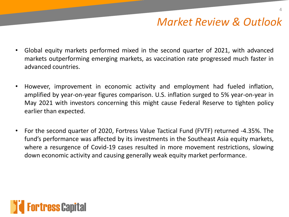## *Market Review & Outlook*

- Global equity markets performed mixed in the second quarter of 2021, with advanced markets outperforming emerging markets, as vaccination rate progressed much faster in advanced countries.
- However, improvement in economic activity and employment had fueled inflation, amplified by year-on-year figures comparison. U.S. inflation surged to 5% year-on-year in May 2021 with investors concerning this might cause Federal Reserve to tighten policy earlier than expected.
- For the second quarter of 2020, Fortress Value Tactical Fund (FVTF) returned -4.35%. The fund's performance was affected by its investments in the Southeast Asia equity markets, where a resurgence of Covid-19 cases resulted in more movement restrictions, slowing down economic activity and causing generally weak equity market performance.

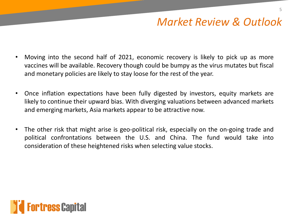## *Market Review & Outlook*

- Moving into the second half of 2021, economic recovery is likely to pick up as more vaccines will be available. Recovery though could be bumpy as the virus mutates but fiscal and monetary policies are likely to stay loose for the rest of the year.
- Once inflation expectations have been fully digested by investors, equity markets are likely to continue their upward bias. With diverging valuations between advanced markets and emerging markets, Asia markets appear to be attractive now.
- The other risk that might arise is geo-political risk, especially on the on-going trade and political confrontations between the U.S. and China. The fund would take into consideration of these heightened risks when selecting value stocks.